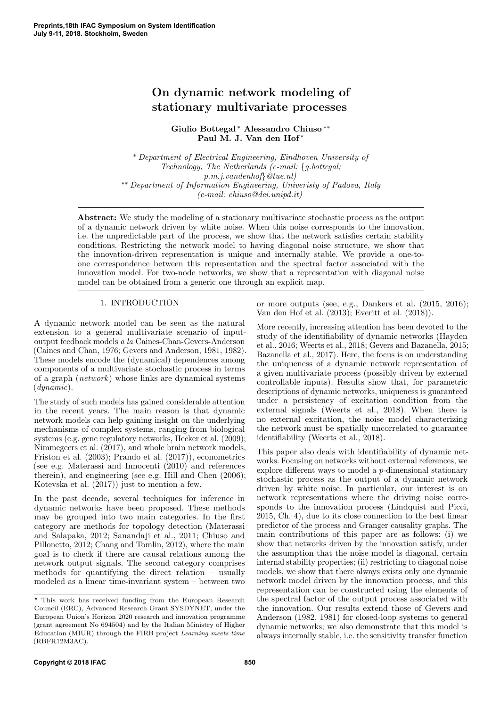# On dynamic network modeling of stationary multivariate processes

Giulio Bottegal <sup>∗</sup> Alessandro Chiuso ∗∗ Paul M. J. Van den Hof <sup>∗</sup>

<sup>∗</sup> Department of Electrical Engineering, Eindhoven University of Technology, The Netherlands (e-mail: {g.bottegal; p.m.j.vandenhof}@tue.nl) ∗∗ Department of Information Engineering, Univeristy of Padova, Italy (e-mail: chiuso@dei.unipd.it)

Abstract: We study the modeling of a stationary multivariate stochastic process as the output of a dynamic network driven by white noise. When this noise corresponds to the innovation, i.e. the unpredictable part of the process, we show that the network satisfies certain stability conditions. Restricting the network model to having diagonal noise structure, we show that the innovation-driven representation is unique and internally stable. We provide a one-toone correspondence between this representation and the spectral factor associated with the innovation model. For two-node networks, we show that a representation with diagonal noise model can be obtained from a generic one through an explicit map.

## 1. INTRODUCTION

A dynamic network model can be seen as the natural extension to a general multivariate scenario of inputoutput feedback models a la Caines-Chan-Gevers-Anderson (Caines and Chan, 1976; Gevers and Anderson, 1981, 1982). These models encode the (dynamical) dependences among components of a multivariate stochastic process in terms of a graph (network) whose links are dynamical systems (dynamic).

The study of such models has gained considerable attention in the recent years. The main reason is that dynamic network models can help gaining insight on the underlying mechanisms of complex systems, ranging from biological systems (e.g. gene regulatory networks, Hecker et al. (2009); Nimmegeers et al. (2017), and whole brain network models, Friston et al. (2003); Prando et al. (2017)), econometrics (see e.g. Materassi and Innocenti (2010) and references therein), and engineering (see e.g. Hill and Chen (2006); Kotevska et al. (2017)) just to mention a few.

In the past decade, several techniques for inference in dynamic networks have been proposed. These methods may be grouped into two main categories. In the first category are methods for topology detection (Materassi and Salapaka, 2012; Sanandaji et al., 2011; Chiuso and Pillonetto, 2012; Chang and Tomlin, 2012), where the main goal is to check if there are causal relations among the network output signals. The second category comprises methods for quantifying the direct relation – usually modeled as a linear time-invariant system – between two or more outputs (see, e.g., Dankers et al. (2015, 2016); Van den Hof et al. (2013); Everitt et al. (2018)).

More recently, increasing attention has been devoted to the study of the identifiability of dynamic networks (Hayden et al., 2016; Weerts et al., 2018; Gevers and Bazanella, 2015; Bazanella et al., 2017). Here, the focus is on understanding the uniqueness of a dynamic network representation of a given multivariate process (possibly driven by external controllable inputs). Results show that, for parametric descriptions of dynamic networks, uniqueness is guaranteed under a persistency of excitation condition from the external signals (Weerts et al., 2018). When there is no external excitation, the noise model characterizing the network must be spatially uncorrelated to guarantee identifiability (Weerts et al., 2018).

This paper also deals with identifiability of dynamic networks. Focusing on networks without external references, we explore different ways to model a p-dimensional stationary stochastic process as the output of a dynamic network driven by white noise. In particular, our interest is on network representations where the driving noise corresponds to the innovation process (Lindquist and Picci, 2015, Ch. 4), due to its close connection to the best linear predictor of the process and Granger causality graphs. The main contributions of this paper are as follows: (i) we show that networks driven by the innovation satisfy, under the assumption that the noise model is diagonal, certain internal stability properties; (ii) restricting to diagonal noise models, we show that there always exists only one dynamic network model driven by the innovation process, and this representation can be constructed using the elements of the spectral factor of the output process associated with the innovation. Our results extend those of Gevers and Anderson (1982, 1981) for closed-loop systems to general dynamic networks; we also demonstrate that this model is always internally stable, i.e. the sensitivity transfer function

 $^\star$  This work has received funding from the European Research Council (ERC), Advanced Research Grant SYSDYNET, under the European Union's Horizon 2020 research and innovation programme (grant agreement No 694504) and by the Italian Ministry of Higher Education (MIUR) through the FIRB project Learning meets time (RBFR12M3AC).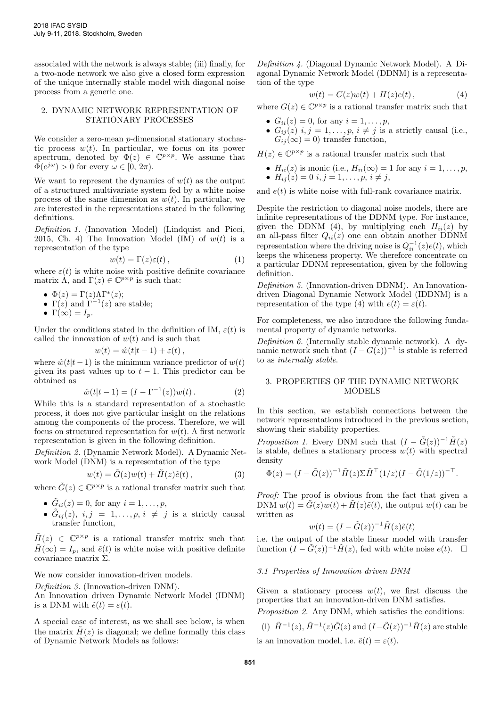associated with the network is always stable; (iii) finally, for a two-node network we also give a closed form expression of the unique internally stable model with diagonal noise process from a generic one.

## 2. DYNAMIC NETWORK REPRESENTATION OF STATIONARY PROCESSES

We consider a zero-mean *p*-dimensional stationary stochastic process  $w(t)$ . In particular, we focus on its power spectrum, denoted by  $\Phi(z) \in \mathbb{C}^{p \times p}$ . We assume that  $\Phi(e^{j\omega}) > 0$  for every  $\omega \in [0, 2\pi)$ .

We want to represent the dynamics of  $w(t)$  as the output of a structured multivariate system fed by a white noise process of the same dimension as  $w(t)$ . In particular, we are interested in the representations stated in the following definitions.

Definition 1. (Innovation Model) (Lindquist and Picci, 2015, Ch. 4) The Innovation Model (IM) of  $w(t)$  is a representation of the type

$$
w(t) = \Gamma(z)\varepsilon(t),\tag{1}
$$

where  $\varepsilon(t)$  is white noise with positive definite covariance matrix  $\Lambda$ , and  $\Gamma(z) \in \mathbb{C}^{p \times p}$  is such that:

•  $\Phi(z) = \Gamma(z) \Lambda \Gamma^*(z);$ 

- $\Gamma(z)$  and  $\Gamma^{-1}(z)$  are stable;
- $\Gamma(\infty) = I_n$ .

Under the conditions stated in the definition of IM,  $\varepsilon(t)$  is called the innovation of  $w(t)$  and is such that

$$
w(t) = \hat{w}(t|t-1) + \varepsilon(t),
$$

where  $\hat{w}(t|t-1)$  is the minimum variance predictor of  $w(t)$ given its past values up to  $t - 1$ . This predictor can be obtained as

$$
\hat{w}(t|t-1) = (I - \Gamma^{-1}(z))w(t).
$$
 (2)

While this is a standard representation of a stochastic process, it does not give particular insight on the relations among the components of the process. Therefore, we will focus on structured representation for  $w(t)$ . A first network representation is given in the following definition.

Definition 2. (Dynamic Network Model). A Dynamic Network Model (DNM) is a representation of the type

$$
w(t) = \tilde{G}(z)w(t) + \tilde{H}(z)\tilde{e}(t) ,
$$
\n(3)

where  $\tilde{G}(z) \in \mathbb{C}^{p \times p}$  is a rational transfer matrix such that

- $\tilde{G}_{ii}(z) = 0$ , for any  $i = 1, \ldots, p$ ,
- $\tilde{G}_{ij}(z)$ ,  $i, j = 1, \ldots, p, i \neq j$  is a strictly causal transfer function,

 $\tilde{H}(z) \in \mathbb{C}^{p \times p}$  is a rational transfer matrix such that  $H(\infty) = I_n$ , and  $\tilde{e}(t)$  is white noise with positive definite covariance matrix Σ.

We now consider innovation-driven models.

Definition 3. (Innovation-driven DNM).

An Innovation–driven Dynamic Network Model (IDNM) is a DNM with  $\tilde{e}(t) = \varepsilon(t)$ .

A special case of interest, as we shall see below, is when the matrix  $H(z)$  is diagonal; we define formally this class of Dynamic Network Models as follows:

Definition 4. (Diagonal Dynamic Network Model). A Diagonal Dynamic Network Model (DDNM) is a representation of the type

$$
w(t) = G(z)w(t) + H(z)e(t), \qquad (4)
$$

where  $G(z) \in \mathbb{C}^{p \times p}$  is a rational transfer matrix such that

- $G_{ii}(z) = 0$ , for any  $i = 1, ..., p$ ,
- $G_{ij}(z)$  i,  $j = 1, \ldots, p, i \neq j$  is a strictly causal (i.e.,  $G_{ij}(\infty) = 0$ ) transfer function,

 $H(z) \in \mathbb{C}^{p \times p}$  is a rational transfer matrix such that

•  $H_{ii}(z)$  is monic (i.e.,  $H_{ii}(\infty) = 1$  for any  $i = 1, \ldots, p$ , •  $H_{ij}(z) = 0$   $i, j = 1, \ldots, p, i \neq j$ ,

and  $e(t)$  is white noise with full-rank covariance matrix.

Despite the restriction to diagonal noise models, there are infinite representations of the DDNM type. For instance, given the DDNM (4), by multiplying each  $H_{ii}(z)$  by an all-pass filter  $Q_{ii}(z)$  one can obtain another DDNM representation where the driving noise is  $Q_{ii}^{-1}(z)e(t)$ , which keeps the whiteness property. We therefore concentrate on a particular DDNM representation, given by the following definition.

Definition 5. (Innovation-driven DDNM). An Innovationdriven Diagonal Dynamic Network Model (IDDNM) is a representation of the type (4) with  $e(t) = \varepsilon(t)$ .

For completeness, we also introduce the following fundamental property of dynamic networks.

Definition 6. (Internally stable dynamic network). A dynamic network such that  $(I - G(z))^{-1}$  is stable is referred to as internally stable.

## 3. PROPERTIES OF THE DYNAMIC NETWORK MODELS

In this section, we establish connections between the network representations introduced in the previous section, showing their stability properties.

*Proposition 1.* Every DNM such that  $(I - \tilde{G}(z))^{-1} \tilde{H}(z)$ is stable, defines a stationary process  $w(t)$  with spectral density

$$
\Phi(z) = (I - \tilde{G}(z))^{-1} \tilde{H}(z) \Sigma \tilde{H}^{\top} (1/z) (I - \tilde{G}(1/z))^{-\top}.
$$

Proof: The proof is obvious from the fact that given a DNM  $w(t) = \tilde{G}(z)w(t) + \tilde{H}(z)\tilde{e}(t)$ , the output  $w(t)$  can be written as

$$
w(t) = (I - \tilde{G}(z))^{-1} \tilde{H}(z)\tilde{e}(t)
$$

i.e. the output of the stable linear model with transfer function  $(I - \tilde{G}(z))^{-1} \tilde{H}(z)$ , fed with white noise  $e(t)$ .  $\Box$ 

## 3.1 Properties of Innovation driven DNM

Given a stationary process  $w(t)$ , we first discuss the properties that an innovation-driven DNM satisfies.

Proposition 2. Any DNM, which satisfies the conditions:

(i)  $\tilde{H}^{-1}(z)$ ,  $\tilde{H}^{-1}(z)\tilde{G}(z)$  and  $(I-\tilde{G}(z))^{-1}\tilde{H}(z)$  are stable

is an innovation model, i.e.  $\tilde{e}(t) = \varepsilon(t)$ .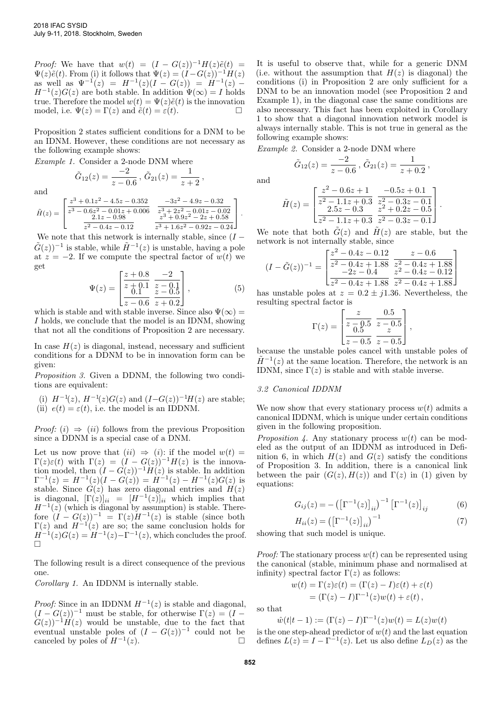*Proof:* We have that  $w(t) = (I - G(z))^{-1}H(z)\tilde{e}(t) =$  $\Psi(z)\tilde{e}(t)$ . From (i) it follows that  $\Psi(z) = (I - G(z))^{-1}H(z)$ as well as  $\Psi^{-1}(z) = H^{-1}(z)(I - G(z)) = H^{-1}(z) H^{-1}(z)G(z)$  are both stable. In addition  $\Psi(\infty) = I$  holds true. Therefore the model  $w(t) = \Psi(z)\tilde{e}(t)$  is the innovation model, i.e.  $\Psi(z) = \Gamma(z)$  and  $\tilde{e}(t) = \varepsilon(t)$ .

Proposition 2 states sufficient conditions for a DNM to be an IDNM. However, these conditions are not necessary as the following example shows:

Example 1. Consider a 2-node DNM where

$$
\tilde{G}_{12}(z) = \frac{-2}{z - 0.6}, \, \tilde{G}_{21}(z) = \frac{1}{z + 2},
$$

and

$$
\tilde{H}(z) = \begin{bmatrix}\n\frac{z^3 + 0.1z^2 - 4.5z - 0.352}{z^3 - 0.6z^2 - 0.01z + 0.006} & \frac{-3z^2 - 4.9z - 0.32}{z^3 + 2z^2 - 0.01z - 0.02} \\
\frac{2.1z - 0.98}{z^2 - 0.4z - 0.12} & \frac{z^3 + 0.9z^2 - 2z + 0.58}{z^3 + 1.6z^2 - 0.92z - 0.24}\n\end{bmatrix}.
$$

We note that this network is internally stable, since  $(I \tilde{G}(z)$ <sup>-1</sup> is stable, while  $\tilde{H}^{-1}(z)$  is unstable, having a pole at  $z = -2$ . If we compute the spectral factor of  $w(t)$  we get

$$
\Psi(z) = \begin{bmatrix} \frac{z+0.8}{z+0.1} & \frac{-2}{z-0.1} \\ \frac{0.1}{z-0.6} & \frac{z-0.5}{z+0.2} \end{bmatrix},
$$
(5)

which is stable and with stable inverse. Since also  $\Psi(\infty) =$ I holds, we conclude that the model is an IDNM, showing that not all the conditions of Proposition 2 are necessary.

In case  $H(z)$  is diagonal, instead, necessary and sufficient conditions for a DDNM to be in innovation form can be given:

Proposition 3. Given a DDNM, the following two conditions are equivalent:

(i)  $H^{-1}(z)$ ,  $H^{-1}(z)G(z)$  and  $(I-G(z))^{-1}H(z)$  are stable; (ii)  $e(t) = \varepsilon(t)$ , i.e. the model is an IDDNM.

*Proof:* (i)  $\Rightarrow$  (ii) follows from the previous Proposition since a DDNM is a special case of a DNM.

Let us now prove that  $(ii) \Rightarrow (i)$ : if the model  $w(t) =$  $\Gamma(z)\varepsilon(t)$  with  $\Gamma(z) = (I - G(z))^{-1}H(z)$  is the innovation model, then  $(I - G(z))^{-1}H(z)$  is stable. In addition  $\Gamma^{-1}(z) = H^{-1}(z)(I - G(z)) = H^{-1}(z) - H^{-1}(z)G(z)$  is stable. Since  $G(z)$  has zero diagonal entries and  $H(z)$ is diagonal,  $[\Gamma(z)]_{ii} = [H^{-1}(z)]_{ii}$  which implies that  $H^{-1}(z)$  (which is diagonal by assumption) is stable. Therefore  $(I - G(z))^{-1} = \Gamma(z)H^{-1}(z)$  is stable (since both  $\Gamma(z)$  and  $H^{-1}(z)$  are so; the same conclusion holds for  $H^{-1}(z)G(z) = H^{-1}(z) - \Gamma^{-1}(z)$ , which concludes the proof.  $\Box$ 

The following result is a direct consequence of the previous one.

Corollary 1. An IDDNM is internally stable.

*Proof:* Since in an IDDNM  $H^{-1}(z)$  is stable and diagonal,  $(I - G(z))^{-1}$  must be stable, for otherwise  $\Gamma(z) = (I G(z)$ )<sup>-1</sup>H(z) would be unstable, due to the fact that eventual unstable poles of  $(I - G(z))^{-1}$  could not be canceled by poles of  $H^{-1}(z)$ .  $(z).$ 

It is useful to observe that, while for a generic DNM (i.e. without the assumption that  $H(z)$  is diagonal) the conditions (i) in Proposition 2 are only sufficient for a DNM to be an innovation model (see Proposition 2 and Example 1), in the diagonal case the same conditions are also necessary. This fact has been exploited in Corollary 1 to show that a diagonal innovation network model is always internally stable. This is not true in general as the following example shows:

Example 2. Consider a 2-node DNM where

$$
\tilde{G}_{12}(z) = \frac{-2}{z - 0.6}, \, \tilde{G}_{21}(z) = \frac{1}{z + 0.2},
$$

and

$$
\tilde{H}(z) = \begin{bmatrix} \frac{z^2 - 0.6z + 1}{z^2 - 1.1z + 0.3} & \frac{-0.5z + 0.1}{z^2 - 0.3z - 0.1} \\ \frac{2.5z - 0.3}{z^2 - 1.1z + 0.3} & \frac{z^2 + 0.2z - 0.5}{z^2 - 0.3z - 0.1} \end{bmatrix}.
$$

We note that both  $G(z)$  and  $H(z)$  are stable, but the network is not internally stable, since

$$
(I - \tilde{G}(z))^{-1} = \begin{bmatrix} \frac{z^2 - 0.4z - 0.12}{z^2 - 0.4z + 1.88} & \frac{z - 0.6}{z^2 - 0.4z + 1.88} \\ \frac{-2z - 0.4}{z^2 - 0.4z + 1.88} & \frac{z^2 - 0.4z - 0.12}{z^2 - 0.4z + 1.88} \end{bmatrix}
$$

has unstable poles at  $z = 0.2 \pm j1.36$ . Nevertheless, the resulting spectral factor is

$$
\Gamma(z) = \begin{bmatrix} \frac{z}{z - 0.5} & \frac{0.5}{z - 0.5} \\ \frac{0.5}{z - 0.5} & \frac{z}{z - 0.5} \end{bmatrix},
$$

because the unstable poles cancel with unstable poles of  $\tilde{H}^{-1}(z)$  at the same location. Therefore, the network is an IDNM, since  $\Gamma(z)$  is stable and with stable inverse.

## 3.2 Canonical IDDNM

We now show that every stationary process  $w(t)$  admits a canonical IDDNM, which is unique under certain conditions given in the following proposition.

*Proposition 4.* Any stationary process  $w(t)$  can be modeled as the output of an IDDNM as introduced in Definition 6, in which  $H(z)$  and  $G(z)$  satisfy the conditions of Proposition 3. In addition, there is a canonical link between the pair  $(G(z), H(z))$  and  $\Gamma(z)$  in (1) given by equations:

$$
G_{ij}(z) = -(\left[\Gamma^{-1}(z)\right]_{ii})^{-1} \left[\Gamma^{-1}(z)\right]_{ij}
$$
 (6)

$$
H_{ii}(z) = \left(\left[\Gamma^{-1}(z)\right]_{ii}\right)^{-1} \tag{7}
$$

showing that such model is unique.

*Proof:* The stationary process  $w(t)$  can be represented using the canonical (stable, minimum phase and normalised at infinity) spectral factor  $\Gamma(z)$  as follows:

$$
w(t) = \Gamma(z)\varepsilon(t) = (\Gamma(z) - I)\varepsilon(t) + \varepsilon(t)
$$
  
= (\Gamma(z) - I)\Gamma^{-1}(z)w(t) + \varepsilon(t),

so that

$$
\hat{w}(t|t-1) := (\Gamma(z) - I)\Gamma^{-1}(z)w(t) = L(z)w(t)
$$

is the one step-ahead predictor of  $w(t)$  and the last equation defines  $L(z) = I - \Gamma^{-1}(z)$ . Let us also define  $L_D(z)$  as the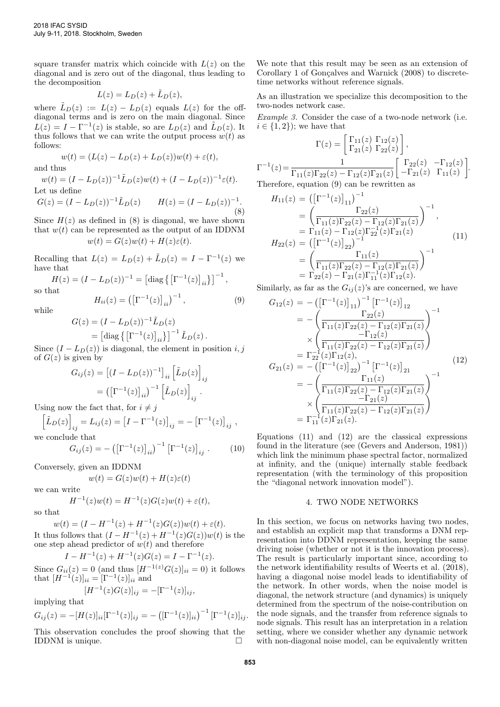square transfer matrix which coincide with  $L(z)$  on the diagonal and is zero out of the diagonal, thus leading to the decomposition

$$
L(z) = L_D(z) + \tilde{L}_D(z),
$$

where  $\tilde{L}_D(z) := L(z) - L_D(z)$  equals  $L(z)$  for the offdiagonal terms and is zero on the main diagonal. Since  $L(z) = I - \Gamma^{-1}(z)$  is stable, so are  $L_D(z)$  and  $\tilde{L}_D(z)$ . It thus follows that we can write the output process  $w(t)$  as follows:

$$
w(t) = (L(z) - L_D(z) + L_D(z))w(t) + \varepsilon(t),
$$

and thus

 $w(t) = (I - L_D(z))^{-1} \tilde{L}_D(z) w(t) + (I - L_D(z))^{-1} \varepsilon(t).$ Let us define  $G(z) = (I - L_D(z))^{-1} \tilde{L}_D(z)$   $H(z) = (I - L_D(z))^{-1}$ . (8)

Since  $H(z)$  as defined in (8) is diagonal, we have shown that  $w(t)$  can be represented as the output of an IDDNM  $w(t) = G(z)w(t) + H(z)\varepsilon(t).$ 

Recalling that  $L(z) = L_D(z) + \tilde{L}_D(z) = I - \Gamma^{-1}(z)$  we have that

 $H(z) = (I - L_D(z))^{-1} = [\text{diag}(\left[\Gamma^{-1}(z)\right]_{ii})]^{-1},$ so that

$$
H_{ii}(z) = (\left[\Gamma^{-1}(z)\right]_{ii})^{-1}, \tag{9}
$$

while

$$
G(z) = (I - L_D(z))^{-1} \tilde{L}_D(z)
$$
  
= 
$$
\left[ \text{diag} \left\{ \left[ \Gamma^{-1}(z) \right]_{ii} \right\} \right]^{-1} \tilde{L}_D(z).
$$

Since  $(I - L_D(z))$  is diagonal, the element in position i, j of  $G(z)$  is given by

$$
G_{ij}(z) = \left[ (I - L_D(z))^{-1} \right]_{ii} \left[ \tilde{L}_D(z) \right]_{ij}
$$

$$
= \left( \left[ \Gamma^{-1}(z) \right]_{ii} \right)^{-1} \left[ \tilde{L}_D(z) \right]_{ij}.
$$

Using now the fact that, for  $i \neq j$ 

$$
\left[\tilde{L}_D(z)\right]_{ij} = L_{ij}(z) = \left[I - \Gamma^{-1}(z)\right]_{ij} = -\left[\Gamma^{-1}(z)\right]_{ij},
$$

we conclude that

$$
G_{ij}(z) = -(\left[\Gamma^{-1}(z)\right]_{ii})^{-1} \left[\Gamma^{-1}(z)\right]_{ij} . \tag{10}
$$

Conversely, given an IDDNM

$$
w(t) = G(z)w(t) + H(z)\varepsilon(t)
$$

we can write

 $H^{-1}(z)w(t) = H^{-1}(z)G(z)w(t) + \varepsilon(t),$ 

so that

$$
w(t) = (I - H^{-1}(z) + H^{-1}(z)G(z))w(t) + \varepsilon(t).
$$

It thus follows that  $(I - H^{-1}(z) + H^{-1}(z)G(z))w(t)$  is the one step ahead predictor of  $w(t)$  and therefore

 $I - H^{-1}(z) + H^{-1}(z)G(z) = I - \Gamma^{-1}(z).$ 

Since  $G_{ii}(z) = 0$  (and thus  $[H^{-1(z)}G(z)]_{ii} = 0$ ) it follows that  $[H^{-1}(z)]_{ii} = [ \Gamma^{-1}(z)]_{ii}$  and

 $[H^{-1}(z)G(z)]_{ij} = -[\Gamma^{-1}(z)]_{ij},$ 

implying that

$$
G_{ij}(z) = -[H(z)]_{ii} [\Gamma^{-1}(z)]_{ij} = -([\Gamma^{-1}(z)]_{ii})^{-1} [\Gamma^{-1}(z)]_{ij}.
$$

This observation concludes the proof showing that the IDDNM is unique.

We note that this result may be seen as an extension of Corollary 1 of Gonçalves and Warnick (2008) to discretetime networks without reference signals.

As an illustration we specialize this decomposition to the two-nodes network case.

Example 3. Consider the case of a two-node network (i.e.  $i \in \{1, 2\}$ ; we have that

$$
\Gamma(z) = \begin{bmatrix} \Gamma_{11}(z) & \Gamma_{12}(z) \\ \Gamma_{21}(z) & \Gamma_{22}(z) \end{bmatrix},
$$

$$
\Gamma^{-1}(z) = \frac{1}{\Gamma_{11}(z)\Gamma_{22}(z) - \Gamma_{12}(z)\Gamma_{21}(z)} \begin{bmatrix} \Gamma_{22}(z) & -\Gamma_{12}(z) \\ -\Gamma_{21}(z) & \Gamma_{11}(z) \end{bmatrix}.
$$
Therefore, equation (9) can be rewritten as

$$
H_{11}(z) = ([\Gamma^{-1}(z)]_{11})^{-1}
$$
  
\n
$$
= \left(\frac{\Gamma_{22}(z)}{\Gamma_{11}(z)\Gamma_{22}(z) - \Gamma_{12}(z)\Gamma_{21}(z)}\right)^{-1},
$$
  
\n
$$
= \Gamma_{11}(z) - \Gamma_{12}(z)\Gamma_{22}^{-1}(z)\Gamma_{21}(z)
$$
  
\n
$$
H_{22}(z) = ([\Gamma^{-1}(z)]_{22})^{-1}
$$
  
\n
$$
= \left(\frac{\Gamma_{11}(z)}{\Gamma_{11}(z)\Gamma_{22}(z) - \Gamma_{12}(z)\Gamma_{21}(z)}\right)^{-1}
$$
  
\n
$$
= \Gamma_{22}(z) - \Gamma_{21}(z)\Gamma_{11}^{-1}(z)\Gamma_{12}(z).
$$
 (11)

Similarly, as far as the  $G_{ij}(z)$ 's are concerned, we have

$$
G_{12}(z) = -(\left[\Gamma^{-1}(z)\right]_{11})^{-1} \left[\Gamma^{-1}(z)\right]_{12}
$$
  
\n
$$
= -\left(\frac{\Gamma_{22}(z)}{\Gamma_{11}(z)\Gamma_{22}(z) - \Gamma_{12}(z)\Gamma_{21}(z)}\right)^{-1}
$$
  
\n
$$
\times \left(\frac{-\Gamma_{12}(z)}{\Gamma_{11}(z)\Gamma_{22}(z) - \Gamma_{12}(z)\Gamma_{21}(z)}\right)
$$
  
\n
$$
= \Gamma_{22}^{-1}(z)\Gamma_{12}(z),
$$
  
\n
$$
G_{21}(z) = -(\left[\Gamma^{-1}(z)\right]_{22})^{-1} \left[\Gamma^{-1}(z)\right]_{21}
$$
  
\n
$$
= -\left(\frac{\Gamma_{11}(z)}{\Gamma_{11}(z)\Gamma_{22}(z) - \Gamma_{12}(z)\Gamma_{21}(z)}\right)^{-1}
$$
  
\n
$$
\times \left(\frac{-\Gamma_{21}(z)}{\Gamma_{11}(z)\Gamma_{22}(z) - \Gamma_{12}(z)\Gamma_{21}(z)}\right)
$$
  
\n
$$
= \Gamma_{11}^{-1}(z)\Gamma_{21}(z).
$$
  
\n(12)

Equations  $(11)$  and  $(12)$  are the classical expressions found in the literature (see (Gevers and Anderson, 1981)) which link the minimum phase spectral factor, normalized at infinity, and the (unique) internally stable feedback representation (with the terminology of this proposition the "diagonal network innovation model").

# 4. TWO NODE NETWORKS

In this section, we focus on networks having two nodes, and establish an explicit map that transforms a DNM representation into DDNM representation, keeping the same driving noise (whether or not it is the innovation process). The result is particularly important since, according to the network identifiability results of Weerts et al. (2018), having a diagonal noise model leads to identifiability of the network. In other words, when the noise model is diagonal, the network structure (and dynamics) is uniquely determined from the spectrum of the noise-contribution on the node signals, and the transfer from reference signals to node signals. This result has an interpretation in a relation setting, where we consider whether any dynamic network with non-diagonal noise model, can be equivalently written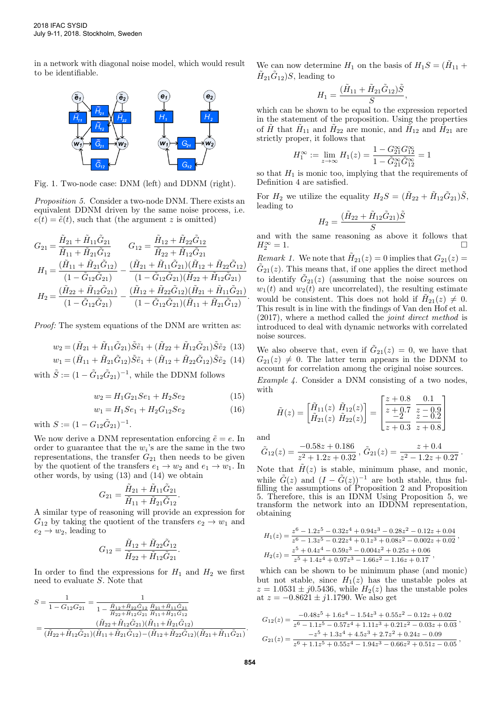in a network with diagonal noise model, which would result to be identifiable.



Fig. 1. Two-node case: DNM (left) and DDNM (right).

Proposition 5. Consider a two-node DNM. There exists an equivalent DDNM driven by the same noise process, i.e.  $e(t) = \tilde{e}(t)$ , such that (the argument z is omitted)

$$
\begin{aligned} G_{21} &= \frac{\tilde{H}_{21} + \tilde{H}_{11}\tilde{G}_{21}}{\tilde{H}_{11} + \tilde{H}_{21}\tilde{G}_{12}} & G_{12} &= \frac{\tilde{H}_{12} + \tilde{H}_{22}\tilde{G}_{12}}{\tilde{H}_{22} + \tilde{H}_{12}\tilde{G}_{21}}\\ H_{1} &= \frac{(\tilde{H}_{11} + \tilde{H}_{21}\tilde{G}_{12})}{(1 - \tilde{G}_{12}\tilde{G}_{21})} - \frac{(\tilde{H}_{21} + \tilde{H}_{11}\tilde{G}_{21})(\tilde{H}_{12} + \tilde{H}_{22}\tilde{G}_{12})}{(1 - \tilde{G}_{12}\tilde{G}_{21})(\tilde{H}_{22} + \tilde{H}_{12}\tilde{G}_{21})}\\ H_{2} &= \frac{(\tilde{H}_{22} + \tilde{H}_{12}\tilde{G}_{21})}{(1 - \tilde{G}_{12}\tilde{G}_{21})} - \frac{(\tilde{H}_{12} + \tilde{H}_{22}\tilde{G}_{12})(\tilde{H}_{21} + \tilde{H}_{11}\tilde{G}_{21})}{(1 - \tilde{G}_{12}\tilde{G}_{21})(\tilde{H}_{11} + \tilde{H}_{21}\tilde{G}_{12})} \end{aligned}
$$

Proof: The system equations of the DNM are written as:

$$
w_2 = (\tilde{H}_{21} + \tilde{H}_{11}\tilde{G}_{21})\tilde{S}\tilde{e}_1 + (\tilde{H}_{22} + \tilde{H}_{12}\tilde{G}_{21})\tilde{S}\tilde{e}_2 \quad (13)
$$

$$
w_1 = (\tilde{H}_{11} + \tilde{H}_{21}\tilde{G}_{12})\tilde{S}\tilde{e}_1 + (\tilde{H}_{12} + \tilde{H}_{22}\tilde{G}_{12})\tilde{S}\tilde{e}_2
$$
(14)

with  $\tilde{S} := (1 - \tilde{G}_{12} \tilde{G}_{21})^{-1}$ , while the DDNM follows

$$
w_2 = H_1 G_{21} S e_1 + H_2 S e_2 \tag{15}
$$

.

$$
w_1 = H_1 Se_1 + H_2 G_{12} Se_2 \tag{16}
$$

with  $S := (1 - G_{12}\tilde{G}_{21})^{-1}$ .

We now derive a DNM representation enforcing  $\tilde{e} = e$ . In order to guarantee that the  $w_i$ 's are the same in the two representations, the transfer  $G_{21}$  then needs to be given by the quotient of the transfers  $e_1 \rightarrow w_2$  and  $e_1 \rightarrow w_1$ . In other words, by using (13) and (14) we obtain

$$
G_{21} = \frac{\tilde{H}_{21} + \tilde{H}_{11}\tilde{G}_{21}}{\tilde{H}_{11} + \tilde{H}_{21}\tilde{G}_{12}}
$$

A similar type of reasoning will provide an expression for  $G_{12}$  by taking the quotient of the transfers  $e_2 \rightarrow w_1$  and  $e_2 \rightarrow w_2$ , leading to

$$
G_{12} = \frac{\tilde{H}_{12} + \tilde{H}_{22}\tilde{G}_{12}}{\tilde{H}_{22} + \tilde{H}_{12}\tilde{G}_{21}}.
$$

In order to find the expressions for  $H_1$  and  $H_2$  we first need to evaluate S. Note that

$$
S = \frac{1}{1 - G_{12}G_{21}} = \frac{1}{1 - \frac{\tilde{H}_{12} + \tilde{H}_{22}\tilde{G}_{12}}{\tilde{H}_{22} + \tilde{H}_{12}\tilde{G}_{21}}\frac{\tilde{H}_{21} + \tilde{H}_{11}\tilde{G}_{21}}{\tilde{H}_{11} + \tilde{H}_{21}\tilde{G}_{12}}}
$$
  
= 
$$
\frac{(\tilde{H}_{22} + \tilde{H}_{12}\tilde{G}_{21})(\tilde{H}_{11} + \tilde{H}_{21}\tilde{G}_{12})}{(\tilde{H}_{22} + \tilde{H}_{12}\tilde{G}_{21})(\tilde{H}_{11} + \tilde{H}_{21}\tilde{G}_{12}) - (\tilde{H}_{12} + \tilde{H}_{22}\tilde{G}_{12})(\tilde{H}_{21} + \tilde{H}_{11}\tilde{G}_{21})}.
$$

We can now determine  $H_1$  on the basis of  $H_1S = (\tilde{H}_{11} +$  $\tilde{H}_{21}\tilde{G}_{12}$ )S, leading to

$$
H_1 = \frac{(\tilde{H}_{11} + \tilde{H}_{21}\tilde{G}_{12})\tilde{S}}{S},
$$

which can be shown to be equal to the expression reported in the statement of the proposition. Using the properties of  $\tilde{H}$  that  $\tilde{H}_{11}$  and  $\tilde{H}_{22}$  are monic, and  $\tilde{H}_{12}$  and  $\tilde{H}_{21}$  are strictly proper, it follows that

$$
H_1^\infty:=\lim_{z\to\infty}H_1(z)=\frac{1-G_{21}^\infty G_{12}^\infty}{1-\tilde G_{21}^\infty \tilde G_{12}^\infty}=1
$$

so that  $H_1$  is monic too, implying that the requirements of Definition 4 are satisfied.

For  $H_2$  we utilize the equality  $H_2S = (\tilde{H}_{22} + \tilde{H}_{12}\tilde{G}_{21})\tilde{S}$ , leading to

$$
H_2 = \frac{(\tilde{H}_{22} + \tilde{H}_{12}\tilde{G}_{21})\tilde{S}}{S}
$$

and with the same reasoning as above it follows that  $H_2^{\infty} = 1.$  $\frac{1}{2}$  = 1.

Remark 1. We note that  $H_{21}(z) = 0$  implies that  $G_{21}(z) = 0$  $\tilde{G}_{21}(z)$ . This means that, if one applies the direct method to identify  $\tilde{G}_{21}(z)$  (assuming that the noise sources on  $w_1(t)$  and  $w_2(t)$  are uncorrelated), the resulting estimate would be consistent. This does not hold if  $\tilde{H}_{21}(z) \neq 0$ . This result is in line with the findings of Van den Hof et al. (2017), where a method called the joint direct method is introduced to deal with dynamic networks with correlated noise sources.

We also observe that, even if  $\tilde{G}_{21}(z) = 0$ , we have that  $G_{21}(z) \neq 0$ . The latter term appears in the DDNM to account for correlation among the original noise sources.

Example 4. Consider a DNM consisting of a two nodes, with

$$
\tilde{H}(z) = \begin{bmatrix} \tilde{H}_{11}(z) & \tilde{H}_{12}(z) \\ \tilde{H}_{21}(z) & \tilde{H}_{22}(z) \end{bmatrix} = \begin{bmatrix} \frac{z+0.8}{z+0.7} & \frac{0.1}{z-0.9} \\ \frac{-2}{z+0.3} & \frac{z-0.9}{z+0.8} \end{bmatrix}
$$

and

.

$$
\tilde{G}_{12}(z) = \frac{-0.58z + 0.186}{z^2 + 1.2z + 0.32}, \, \tilde{G}_{21}(z) = \frac{z + 0.4}{z^2 - 1.2z + 0.27}.
$$

Note that  $\tilde{H}(z)$  is stable, minimum phase, and monic, while  $\tilde{G}(z)$  and  $(I - \tilde{G}(z))^{-1}$  are both stable, thus fulfilling the assumptions of Proposition 2 and Proposition 5. Therefore, this is an IDNM Using Proposition 5, we transform the network into an IDDNM representation, obtaining

$$
H_1(z) = \frac{z^6 - 1.2z^5 - 0.32z^4 + 0.94z^3 - 0.28z^2 - 0.12z + 0.04}{z^6 - 1.3z^5 - 0.22z^4 + 0.1z^3 + 0.08z^2 - 0.002z + 0.02},
$$
  
\n
$$
H_2(z) = \frac{z^5 + 0.4z^4 - 0.59z^3 - 0.004z^2 + 0.25z + 0.06}{z^5 + 1.4z^4 + 0.97z^3 - 1.66z^2 - 1.16z + 0.17},
$$

which can be shown to be minimum phase (and monic) but not stable, since  $H_1(z)$  has the unstable poles at  $z = 1.0531 \pm j0.5436$ , while  $H_2(z)$  has the unstable poles at  $z = -0.8621 \pm j1.1790$ . We also get

$$
\begin{aligned} G_{12}(z) &= \frac{-0.48z^5 + 1.6z^4 - 1.54z^3 + 0.55z^2 - 0.12z + 0.02}{z^6 - 1.1z^5 - 0.57z^4 + 1.11z^3 + 0.21z^2 - 0.03z + 0.03} \,, \\ G_{21}(z) &= \frac{-z^5 + 1.3z^4 + 4.5z^3 + 2.7z^2 + 0.24z - 0.09}{z^6 + 1.1z^5 + 0.55z^4 - 1.94z^3 - 0.66z^2 + 0.51z - 0.05} \,, \end{aligned}
$$